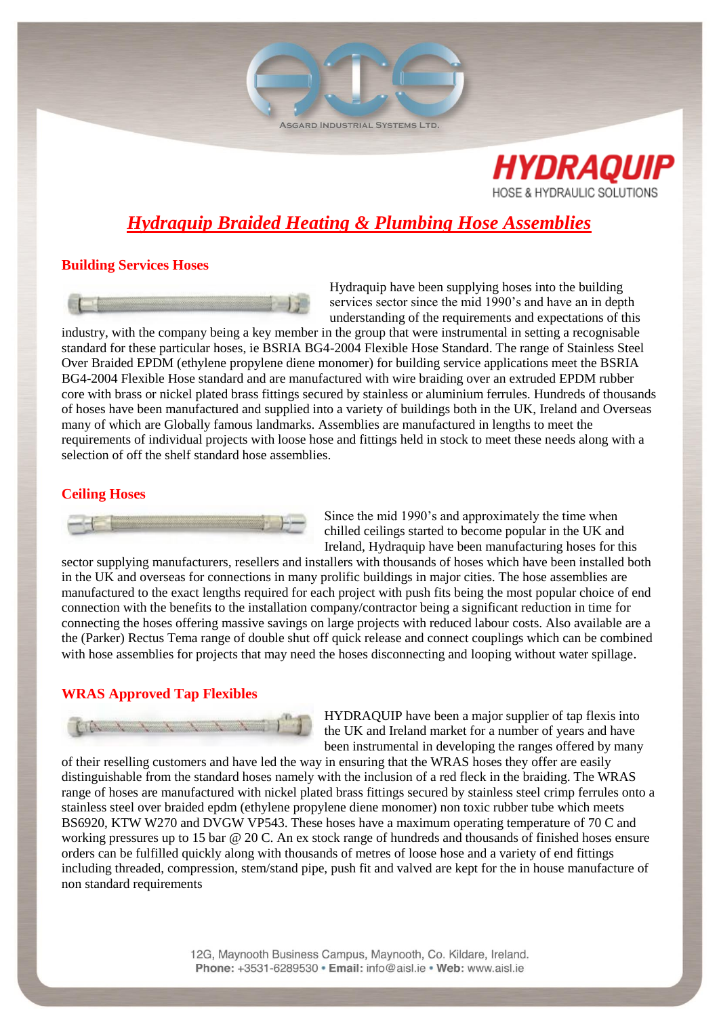ASGARD INDUSTRIAL SYSTEMS LTD.



# *Hydraquip Braided Heating & Plumbing Hose Assemblies*

## **Building Services Hoses**



Hydraquip have been supplying hoses into the building services sector since the mid 1990's and have an in depth understanding of the requirements and expectations of this

industry, with the company being a key member in the group that were instrumental in setting a recognisable standard for these particular hoses, ie BSRIA BG4-2004 Flexible Hose Standard. The range of Stainless Steel Over Braided EPDM (ethylene propylene diene monomer) for building service applications meet the BSRIA BG4-2004 Flexible Hose standard and are manufactured with wire braiding over an extruded EPDM rubber core with brass or nickel plated brass fittings secured by stainless or aluminium ferrules. Hundreds of thousands of hoses have been manufactured and supplied into a variety of buildings both in the UK, Ireland and Overseas many of which are Globally famous landmarks. Assemblies are manufactured in lengths to meet the requirements of individual projects with loose hose and fittings held in stock to meet these needs along with a selection of off the shelf standard hose assemblies.

## **Ceiling Hoses**



Since the mid 1990's and approximately the time when chilled ceilings started to become popular in the UK and Ireland, Hydraquip have been manufacturing hoses for this

sector supplying manufacturers, resellers and installers with thousands of hoses which have been installed both in the UK and overseas for connections in many prolific buildings in major cities. The hose assemblies are manufactured to the exact lengths required for each project with push fits being the most popular choice of end connection with the benefits to the installation company/contractor being a significant reduction in time for connecting the hoses offering massive savings on large projects with reduced labour costs. Also available are a the (Parker) Rectus Tema range of double shut off quick release and connect couplings which can be combined with hose assemblies for projects that may need the hoses disconnecting and looping without water spillage.

# **WRAS Approved Tap Flexibles**



HYDRAQUIP have been a major supplier of tap flexis into the UK and Ireland market for a number of years and have been instrumental in developing the ranges offered by many

of their reselling customers and have led the way in ensuring that the WRAS hoses they offer are easily distinguishable from the standard hoses namely with the inclusion of a red fleck in the braiding. The WRAS range of hoses are manufactured with nickel plated brass fittings secured by stainless steel crimp ferrules onto a stainless steel over braided epdm (ethylene propylene diene monomer) non toxic rubber tube which meets BS6920, KTW W270 and DVGW VP543. These hoses have a maximum operating temperature of 70 C and working pressures up to 15 bar @ 20 C. An ex stock range of hundreds and thousands of finished hoses ensure orders can be fulfilled quickly along with thousands of metres of loose hose and a variety of end fittings including threaded, compression, stem/stand pipe, push fit and valved are kept for the in house manufacture of non standard requirements